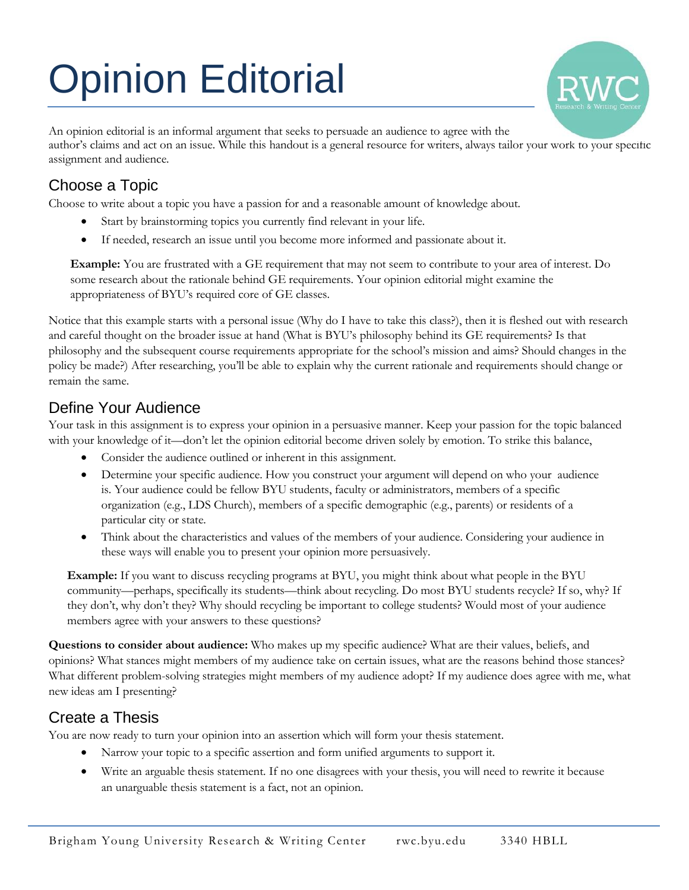# Opinion Editorial



An opinion editorial is an informal argument that seeks to persuade an audience to agree with the author's claims and act on an issue. While this handout is a general resource for writers, always tailor your work to your specific assignment and audience.

## Choose a Topic

Choose to write about a topic you have a passion for and a reasonable amount of knowledge about.

- Start by brainstorming topics you currently find relevant in your life.
- If needed, research an issue until you become more informed and passionate about it.

**Example:** You are frustrated with a GE requirement that may not seem to contribute to your area of interest. Do some research about the rationale behind GE requirements. Your opinion editorial might examine the appropriateness of BYU's required core of GE classes.

Notice that this example starts with a personal issue (Why do I have to take this class?), then it is fleshed out with research and careful thought on the broader issue at hand (What is BYU's philosophy behind its GE requirements? Is that philosophy and the subsequent course requirements appropriate for the school's mission and aims? Should changes in the policy be made?) After researching, you'll be able to explain why the current rationale and requirements should change or remain the same.

## Define Your Audience

Your task in this assignment is to express your opinion in a persuasive manner. Keep your passion for the topic balanced with your knowledge of it—don't let the opinion editorial become driven solely by emotion. To strike this balance,

- Consider the audience outlined or inherent in this assignment.
- Determine your specific audience. How you construct your argument will depend on who your audience is. Your audience could be fellow BYU students, faculty or administrators, members of a specific organization (e.g., LDS Church), members of a specific demographic (e.g., parents) or residents of a particular city or state.
- Think about the characteristics and values of the members of your audience. Considering your audience in these ways will enable you to present your opinion more persuasively.

**Example:** If you want to discuss recycling programs at BYU, you might think about what people in the BYU community—perhaps, specifically its students—think about recycling. Do most BYU students recycle? If so, why? If they don't, why don't they? Why should recycling be important to college students? Would most of your audience members agree with your answers to these questions?

**Questions to consider about audience:** Who makes up my specific audience? What are their values, beliefs, and opinions? What stances might members of my audience take on certain issues, what are the reasons behind those stances? What different problem-solving strategies might members of my audience adopt? If my audience does agree with me, what new ideas am I presenting?

# Create a Thesis

You are now ready to turn your opinion into an assertion which will form your thesis statement.

- Narrow your topic to a specific assertion and form unified arguments to support it.
- Write an arguable thesis statement. If no one disagrees with your thesis, you will need to rewrite it because an unarguable thesis statement is a fact, not an opinion.